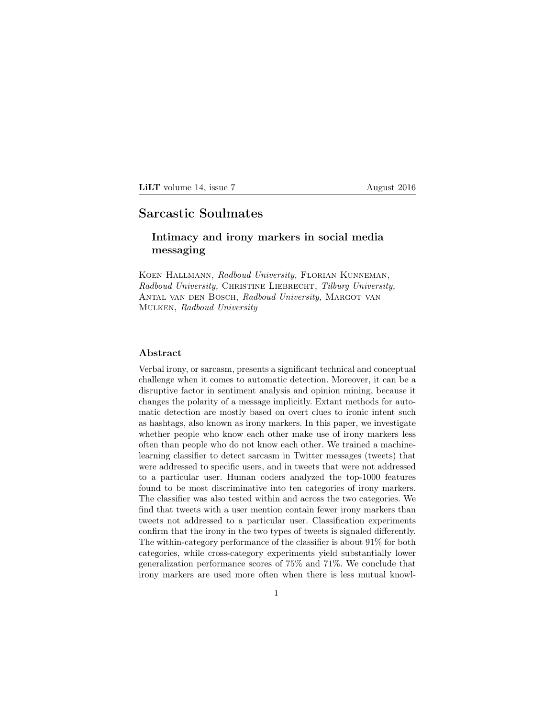LILT volume 14, issue 7 August 2016

# Sarcastic Soulmates

# Intimacy and irony markers in social media messaging

Koen Hallmann, Radboud University, Florian Kunneman, Radboud University, CHRISTINE LIEBRECHT, Tilburg University, Antal van den Bosch, Radboud University, Margot van Mulken, Radboud University

## Abstract

Verbal irony, or sarcasm, presents a significant technical and conceptual challenge when it comes to automatic detection. Moreover, it can be a disruptive factor in sentiment analysis and opinion mining, because it changes the polarity of a message implicitly. Extant methods for automatic detection are mostly based on overt clues to ironic intent such as hashtags, also known as irony markers. In this paper, we investigate whether people who know each other make use of irony markers less often than people who do not know each other. We trained a machinelearning classifier to detect sarcasm in Twitter messages (tweets) that were addressed to specific users, and in tweets that were not addressed to a particular user. Human coders analyzed the top-1000 features found to be most discriminative into ten categories of irony markers. The classifier was also tested within and across the two categories. We find that tweets with a user mention contain fewer irony markers than tweets not addressed to a particular user. Classification experiments confirm that the irony in the two types of tweets is signaled differently. The within-category performance of the classifier is about 91% for both categories, while cross-category experiments yield substantially lower generalization performance scores of 75% and 71%. We conclude that irony markers are used more often when there is less mutual knowl-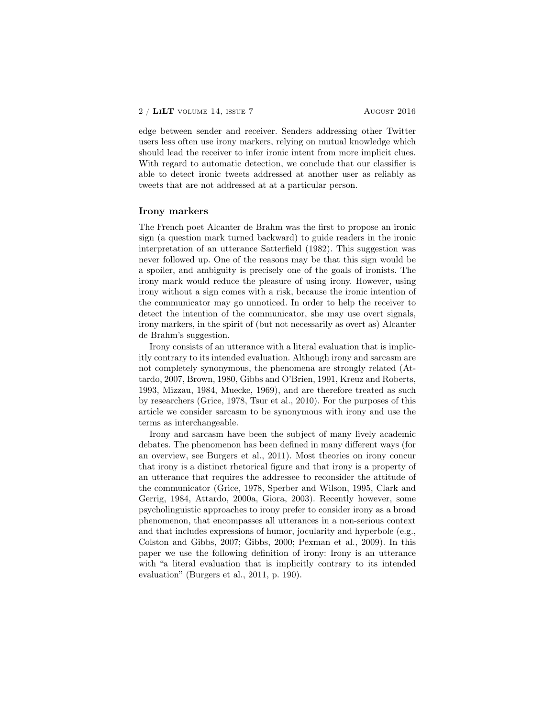#### $2 / LiLT$  volume 14, issue 7 August 2016

edge between sender and receiver. Senders addressing other Twitter users less often use irony markers, relying on mutual knowledge which should lead the receiver to infer ironic intent from more implicit clues. With regard to automatic detection, we conclude that our classifier is able to detect ironic tweets addressed at another user as reliably as tweets that are not addressed at at a particular person.

### Irony markers

The French poet Alcanter de Brahm was the first to propose an ironic sign (a question mark turned backward) to guide readers in the ironic interpretation of an utterance Satterfield (1982). This suggestion was never followed up. One of the reasons may be that this sign would be a spoiler, and ambiguity is precisely one of the goals of ironists. The irony mark would reduce the pleasure of using irony. However, using irony without a sign comes with a risk, because the ironic intention of the communicator may go unnoticed. In order to help the receiver to detect the intention of the communicator, she may use overt signals, irony markers, in the spirit of (but not necessarily as overt as) Alcanter de Brahm's suggestion.

Irony consists of an utterance with a literal evaluation that is implicitly contrary to its intended evaluation. Although irony and sarcasm are not completely synonymous, the phenomena are strongly related (Attardo, 2007, Brown, 1980, Gibbs and O'Brien, 1991, Kreuz and Roberts, 1993, Mizzau, 1984, Muecke, 1969), and are therefore treated as such by researchers (Grice, 1978, Tsur et al., 2010). For the purposes of this article we consider sarcasm to be synonymous with irony and use the terms as interchangeable.

Irony and sarcasm have been the subject of many lively academic debates. The phenomenon has been defined in many different ways (for an overview, see Burgers et al., 2011). Most theories on irony concur that irony is a distinct rhetorical figure and that irony is a property of an utterance that requires the addressee to reconsider the attitude of the communicator (Grice, 1978, Sperber and Wilson, 1995, Clark and Gerrig, 1984, Attardo, 2000a, Giora, 2003). Recently however, some psycholinguistic approaches to irony prefer to consider irony as a broad phenomenon, that encompasses all utterances in a non-serious context and that includes expressions of humor, jocularity and hyperbole (e.g., Colston and Gibbs, 2007; Gibbs, 2000; Pexman et al., 2009). In this paper we use the following definition of irony: Irony is an utterance with "a literal evaluation that is implicitly contrary to its intended evaluation" (Burgers et al., 2011, p. 190).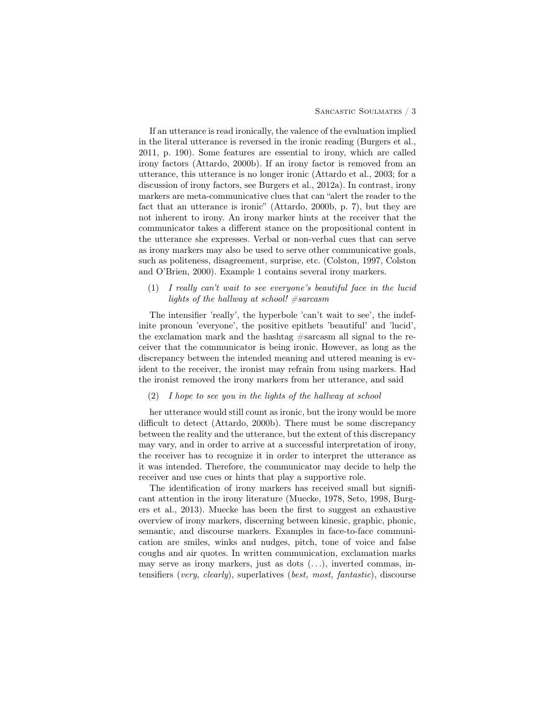If an utterance is read ironically, the valence of the evaluation implied in the literal utterance is reversed in the ironic reading (Burgers et al., 2011, p. 190). Some features are essential to irony, which are called irony factors (Attardo, 2000b). If an irony factor is removed from an utterance, this utterance is no longer ironic (Attardo et al., 2003; for a discussion of irony factors, see Burgers et al., 2012a). In contrast, irony markers are meta-communicative clues that can "alert the reader to the fact that an utterance is ironic" (Attardo, 2000b, p. 7), but they are not inherent to irony. An irony marker hints at the receiver that the communicator takes a different stance on the propositional content in the utterance she expresses. Verbal or non-verbal cues that can serve as irony markers may also be used to serve other communicative goals, such as politeness, disagreement, surprise, etc. (Colston, 1997, Colston and O'Brien, 2000). Example 1 contains several irony markers.

# (1) I really can't wait to see everyone's beautiful face in the lucid lights of the hallway at school!  $#sarcasm$

The intensifier 'really', the hyperbole 'can't wait to see', the indefinite pronoun 'everyone', the positive epithets 'beautiful' and 'lucid', the exclamation mark and the hashtag #sarcasm all signal to the receiver that the communicator is being ironic. However, as long as the discrepancy between the intended meaning and uttered meaning is evident to the receiver, the ironist may refrain from using markers. Had the ironist removed the irony markers from her utterance, and said

#### (2) I hope to see you in the lights of the hallway at school

her utterance would still count as ironic, but the irony would be more difficult to detect (Attardo, 2000b). There must be some discrepancy between the reality and the utterance, but the extent of this discrepancy may vary, and in order to arrive at a successful interpretation of irony, the receiver has to recognize it in order to interpret the utterance as it was intended. Therefore, the communicator may decide to help the receiver and use cues or hints that play a supportive role.

The identification of irony markers has received small but significant attention in the irony literature (Muecke, 1978, Seto, 1998, Burgers et al., 2013). Muecke has been the first to suggest an exhaustive overview of irony markers, discerning between kinesic, graphic, phonic, semantic, and discourse markers. Examples in face-to-face communication are smiles, winks and nudges, pitch, tone of voice and false coughs and air quotes. In written communication, exclamation marks may serve as irony markers, just as dots (. . .), inverted commas, intensifiers (very, clearly), superlatives (best, most, fantastic), discourse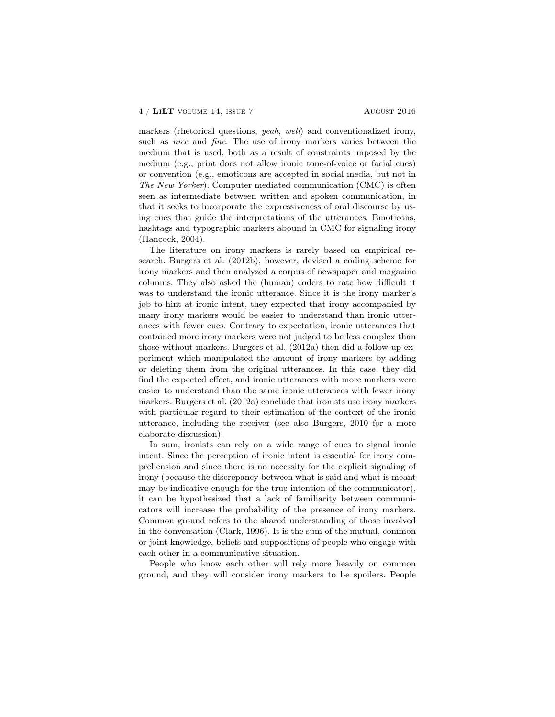markers (rhetorical questions, yeah, well) and conventionalized irony, such as nice and fine. The use of irony markers varies between the medium that is used, both as a result of constraints imposed by the medium (e.g., print does not allow ironic tone-of-voice or facial cues) or convention (e.g., emoticons are accepted in social media, but not in The New Yorker). Computer mediated communication (CMC) is often seen as intermediate between written and spoken communication, in that it seeks to incorporate the expressiveness of oral discourse by using cues that guide the interpretations of the utterances. Emoticons, hashtags and typographic markers abound in CMC for signaling irony (Hancock, 2004).

The literature on irony markers is rarely based on empirical research. Burgers et al. (2012b), however, devised a coding scheme for irony markers and then analyzed a corpus of newspaper and magazine columns. They also asked the (human) coders to rate how difficult it was to understand the ironic utterance. Since it is the irony marker's job to hint at ironic intent, they expected that irony accompanied by many irony markers would be easier to understand than ironic utterances with fewer cues. Contrary to expectation, ironic utterances that contained more irony markers were not judged to be less complex than those without markers. Burgers et al. (2012a) then did a follow-up experiment which manipulated the amount of irony markers by adding or deleting them from the original utterances. In this case, they did find the expected effect, and ironic utterances with more markers were easier to understand than the same ironic utterances with fewer irony markers. Burgers et al. (2012a) conclude that ironists use irony markers with particular regard to their estimation of the context of the ironic utterance, including the receiver (see also Burgers, 2010 for a more elaborate discussion).

In sum, ironists can rely on a wide range of cues to signal ironic intent. Since the perception of ironic intent is essential for irony comprehension and since there is no necessity for the explicit signaling of irony (because the discrepancy between what is said and what is meant may be indicative enough for the true intention of the communicator), it can be hypothesized that a lack of familiarity between communicators will increase the probability of the presence of irony markers. Common ground refers to the shared understanding of those involved in the conversation (Clark, 1996). It is the sum of the mutual, common or joint knowledge, beliefs and suppositions of people who engage with each other in a communicative situation.

People who know each other will rely more heavily on common ground, and they will consider irony markers to be spoilers. People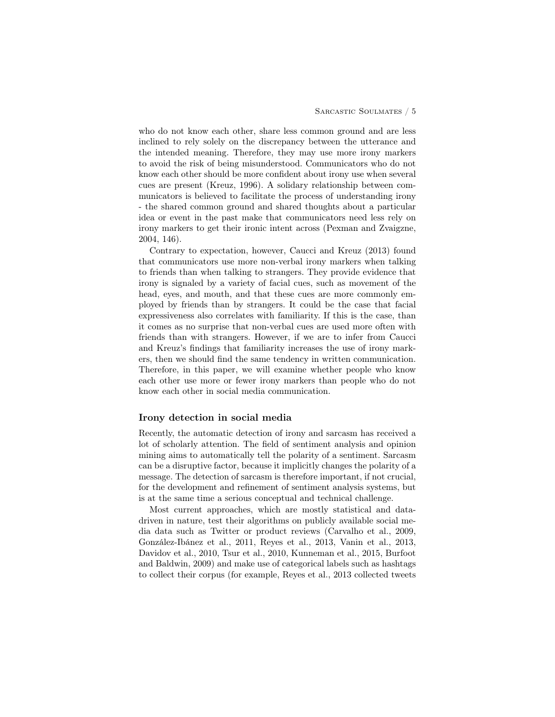who do not know each other, share less common ground and are less inclined to rely solely on the discrepancy between the utterance and the intended meaning. Therefore, they may use more irony markers to avoid the risk of being misunderstood. Communicators who do not know each other should be more confident about irony use when several cues are present (Kreuz, 1996). A solidary relationship between communicators is believed to facilitate the process of understanding irony - the shared common ground and shared thoughts about a particular idea or event in the past make that communicators need less rely on irony markers to get their ironic intent across (Pexman and Zvaigzne, 2004, 146).

Contrary to expectation, however, Caucci and Kreuz (2013) found that communicators use more non-verbal irony markers when talking to friends than when talking to strangers. They provide evidence that irony is signaled by a variety of facial cues, such as movement of the head, eyes, and mouth, and that these cues are more commonly employed by friends than by strangers. It could be the case that facial expressiveness also correlates with familiarity. If this is the case, than it comes as no surprise that non-verbal cues are used more often with friends than with strangers. However, if we are to infer from Caucci and Kreuz's findings that familiarity increases the use of irony markers, then we should find the same tendency in written communication. Therefore, in this paper, we will examine whether people who know each other use more or fewer irony markers than people who do not know each other in social media communication.

# Irony detection in social media

Recently, the automatic detection of irony and sarcasm has received a lot of scholarly attention. The field of sentiment analysis and opinion mining aims to automatically tell the polarity of a sentiment. Sarcasm can be a disruptive factor, because it implicitly changes the polarity of a message. The detection of sarcasm is therefore important, if not crucial, for the development and refinement of sentiment analysis systems, but is at the same time a serious conceptual and technical challenge.

Most current approaches, which are mostly statistical and datadriven in nature, test their algorithms on publicly available social media data such as Twitter or product reviews (Carvalho et al., 2009, González-Ibánez et al., 2011, Reyes et al., 2013, Vanin et al., 2013, Davidov et al., 2010, Tsur et al., 2010, Kunneman et al., 2015, Burfoot and Baldwin, 2009) and make use of categorical labels such as hashtags to collect their corpus (for example, Reyes et al., 2013 collected tweets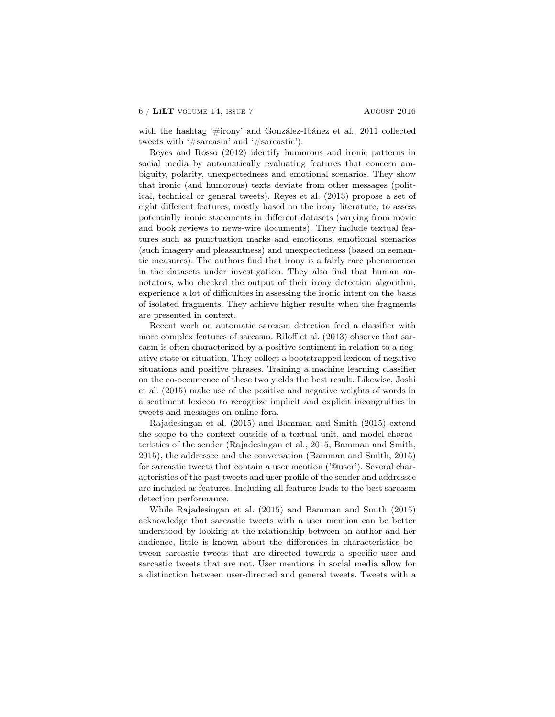with the hashtag '#irony' and González-Ibánez et al., 2011 collected tweets with '#sarcasm' and '#sarcastic').

Reyes and Rosso (2012) identify humorous and ironic patterns in social media by automatically evaluating features that concern ambiguity, polarity, unexpectedness and emotional scenarios. They show that ironic (and humorous) texts deviate from other messages (political, technical or general tweets). Reyes et al. (2013) propose a set of eight different features, mostly based on the irony literature, to assess potentially ironic statements in different datasets (varying from movie and book reviews to news-wire documents). They include textual features such as punctuation marks and emoticons, emotional scenarios (such imagery and pleasantness) and unexpectedness (based on semantic measures). The authors find that irony is a fairly rare phenomenon in the datasets under investigation. They also find that human annotators, who checked the output of their irony detection algorithm, experience a lot of difficulties in assessing the ironic intent on the basis of isolated fragments. They achieve higher results when the fragments are presented in context.

Recent work on automatic sarcasm detection feed a classifier with more complex features of sarcasm. Riloff et al. (2013) observe that sarcasm is often characterized by a positive sentiment in relation to a negative state or situation. They collect a bootstrapped lexicon of negative situations and positive phrases. Training a machine learning classifier on the co-occurrence of these two yields the best result. Likewise, Joshi et al. (2015) make use of the positive and negative weights of words in a sentiment lexicon to recognize implicit and explicit incongruities in tweets and messages on online fora.

Rajadesingan et al. (2015) and Bamman and Smith (2015) extend the scope to the context outside of a textual unit, and model characteristics of the sender (Rajadesingan et al., 2015, Bamman and Smith, 2015), the addressee and the conversation (Bamman and Smith, 2015) for sarcastic tweets that contain a user mention ('@user'). Several characteristics of the past tweets and user profile of the sender and addressee are included as features. Including all features leads to the best sarcasm detection performance.

While Rajadesingan et al. (2015) and Bamman and Smith (2015) acknowledge that sarcastic tweets with a user mention can be better understood by looking at the relationship between an author and her audience, little is known about the differences in characteristics between sarcastic tweets that are directed towards a specific user and sarcastic tweets that are not. User mentions in social media allow for a distinction between user-directed and general tweets. Tweets with a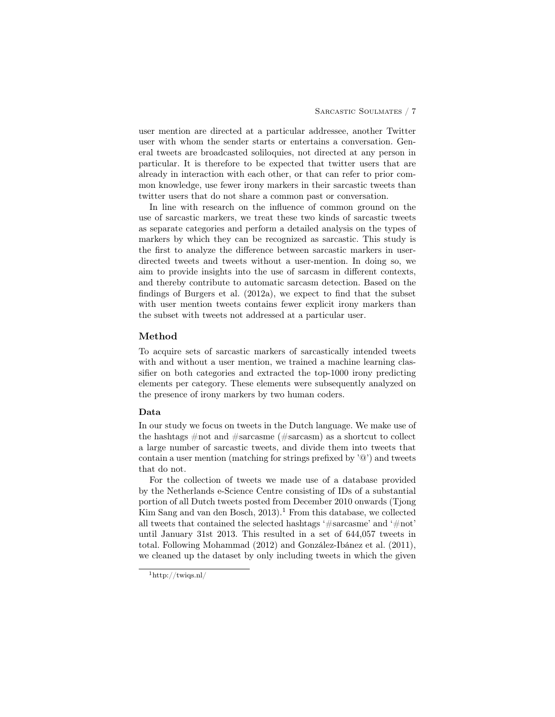user mention are directed at a particular addressee, another Twitter user with whom the sender starts or entertains a conversation. General tweets are broadcasted soliloquies, not directed at any person in particular. It is therefore to be expected that twitter users that are already in interaction with each other, or that can refer to prior common knowledge, use fewer irony markers in their sarcastic tweets than twitter users that do not share a common past or conversation.

In line with research on the influence of common ground on the use of sarcastic markers, we treat these two kinds of sarcastic tweets as separate categories and perform a detailed analysis on the types of markers by which they can be recognized as sarcastic. This study is the first to analyze the difference between sarcastic markers in userdirected tweets and tweets without a user-mention. In doing so, we aim to provide insights into the use of sarcasm in different contexts, and thereby contribute to automatic sarcasm detection. Based on the findings of Burgers et al. (2012a), we expect to find that the subset with user mention tweets contains fewer explicit irony markers than the subset with tweets not addressed at a particular user.

### Method

To acquire sets of sarcastic markers of sarcastically intended tweets with and without a user mention, we trained a machine learning classifier on both categories and extracted the top-1000 irony predicting elements per category. These elements were subsequently analyzed on the presence of irony markers by two human coders.

# Data

In our study we focus on tweets in the Dutch language. We make use of the hashtags #not and #sarcasme (#sarcasm) as a shortcut to collect a large number of sarcastic tweets, and divide them into tweets that contain a user mention (matching for strings prefixed by  $\Im$ ) and tweets that do not.

For the collection of tweets we made use of a database provided by the Netherlands e-Science Centre consisting of IDs of a substantial portion of all Dutch tweets posted from December 2010 onwards (Tjong Kim Sang and van den Bosch,  $2013$ .<sup>1</sup> From this database, we collected all tweets that contained the selected hashtags '#sarcasme' and '#not' until January 31st 2013. This resulted in a set of 644,057 tweets in total. Following Mohammad (2012) and González-Ibánez et al. (2011), we cleaned up the dataset by only including tweets in which the given

 $1$ http://twiqs.nl/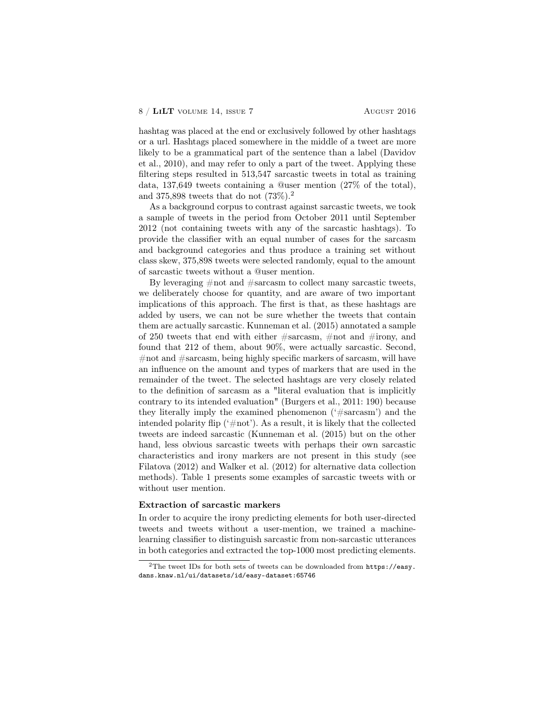#### $8 / LiLT$  volume 14, issue 7 August 2016

hashtag was placed at the end or exclusively followed by other hashtags or a url. Hashtags placed somewhere in the middle of a tweet are more likely to be a grammatical part of the sentence than a label (Davidov et al., 2010), and may refer to only a part of the tweet. Applying these filtering steps resulted in 513,547 sarcastic tweets in total as training data, 137,649 tweets containing a @user mention (27% of the total), and 375,898 tweets that do not  $(73\%)$ .<sup>2</sup>

As a background corpus to contrast against sarcastic tweets, we took a sample of tweets in the period from October 2011 until September 2012 (not containing tweets with any of the sarcastic hashtags). To provide the classifier with an equal number of cases for the sarcasm and background categories and thus produce a training set without class skew, 375,898 tweets were selected randomly, equal to the amount of sarcastic tweets without a @user mention.

By leveraging #not and #sarcasm to collect many sarcastic tweets, we deliberately choose for quantity, and are aware of two important implications of this approach. The first is that, as these hashtags are added by users, we can not be sure whether the tweets that contain them are actually sarcastic. Kunneman et al. (2015) annotated a sample of 250 tweets that end with either  $\#$ sarcasm,  $\#$ not and  $\#$ irony, and found that 212 of them, about 90%, were actually sarcastic. Second, #not and #sarcasm, being highly specific markers of sarcasm, will have an influence on the amount and types of markers that are used in the remainder of the tweet. The selected hashtags are very closely related to the definition of sarcasm as a "literal evaluation that is implicitly contrary to its intended evaluation" (Burgers et al., 2011: 190) because they literally imply the examined phenomenon ('#sarcasm') and the intended polarity flip (' $\#$ not'). As a result, it is likely that the collected tweets are indeed sarcastic (Kunneman et al. (2015) but on the other hand, less obvious sarcastic tweets with perhaps their own sarcastic characteristics and irony markers are not present in this study (see Filatova (2012) and Walker et al. (2012) for alternative data collection methods). Table 1 presents some examples of sarcastic tweets with or without user mention.

## Extraction of sarcastic markers

In order to acquire the irony predicting elements for both user-directed tweets and tweets without a user-mention, we trained a machinelearning classifier to distinguish sarcastic from non-sarcastic utterances in both categories and extracted the top-1000 most predicting elements.

<sup>&</sup>lt;sup>2</sup>The tweet IDs for both sets of tweets can be downloaded from  $https://easy.$ dans.knaw.nl/ui/datasets/id/easy-dataset:65746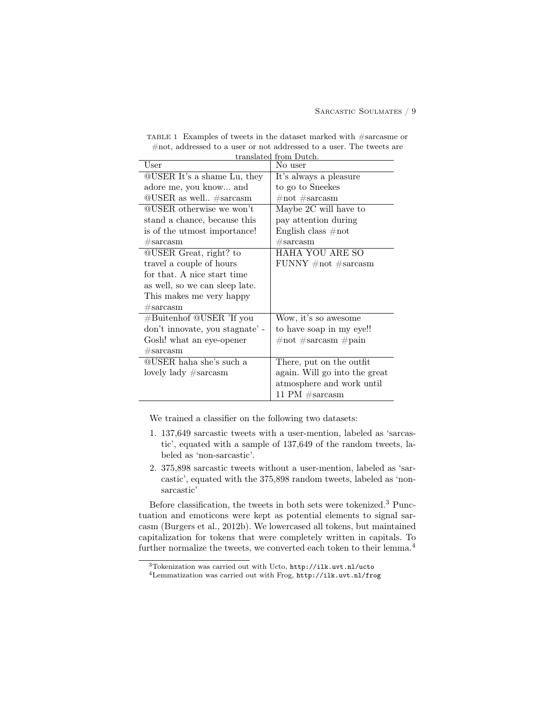| translated from Dutch.              |                               |  |  |
|-------------------------------------|-------------------------------|--|--|
| User                                | No user                       |  |  |
| QUSER It's a shame Lu, they         | It's always a pleasure        |  |  |
| adore me, you know and              | to go to Sneekes              |  |  |
| $@USER$ as well $#sarcasm$          | $\#not$ #sarcasm              |  |  |
| QUSER otherwise we won't            | Maybe 2C will have to         |  |  |
| stand a chance, because this        | pay attention during          |  |  |
| is of the utmost importance!        | English class $\#not$         |  |  |
| $\#\mathrm{sarcasm}$                | $\#\mathrm{sarcasm}$          |  |  |
| <b>QUSER</b> Great, right? to       | HAHA YOU ARE SO               |  |  |
| travel a couple of hours            | FUNNY $\#not$ #sarcasm        |  |  |
| for that. A nice start time         |                               |  |  |
| as well, so we can sleep late.      |                               |  |  |
| This makes me very happy            |                               |  |  |
| $\#\text{sarcasm}$                  |                               |  |  |
| $\# \text{Buitenhof}$ @USER 'If you | Wow, it's so awesome          |  |  |
| don't innovate, you stagnate' -     | to have soap in my eye!!      |  |  |
| Gosh! what an eye-opener            | $\#not$ #sarcasm $\#pain$     |  |  |
| $\#\mathrm{sarcasm}$                |                               |  |  |
| QUSER haha she's such a             | There, put on the outfit      |  |  |
| lovely lady $\#\text{sarcasm}$      | again. Will go into the great |  |  |
|                                     | atmosphere and work until     |  |  |
|                                     | 11 PM $\#sarcasm$             |  |  |

TABLE 1 Examples of tweets in the dataset marked with #sarcasme or #not, addressed to a user or not addressed to a user. The tweets are

We trained a classifier on the following two datasets:

- 1. 137,649 sarcastic tweets with a user-mention, labeled as 'sarcastic', equated with a sample of 137,649 of the random tweets, labeled as 'non-sarcastic'.
- 2. 375,898 sarcastic tweets without a user-mention, labeled as 'sarcastic', equated with the 375,898 random tweets, labeled as 'nonsarcastic'

Before classification, the tweets in both sets were tokenized.<sup>3</sup> Punctuation and emoticons were kept as potential elements to signal sarcasm (Burgers et al., 2012b). We lowercased all tokens, but maintained capitalization for tokens that were completely written in capitals. To further normalize the tweets, we converted each token to their lemma.<sup>4</sup>

 $^3\!$  Tokenization was carried out with Ucto,  ${\tt http://ilk.uvt.nl/ucto}$ 

<sup>4</sup>Lemmatization was carried out with Frog, http://ilk.uvt.nl/frog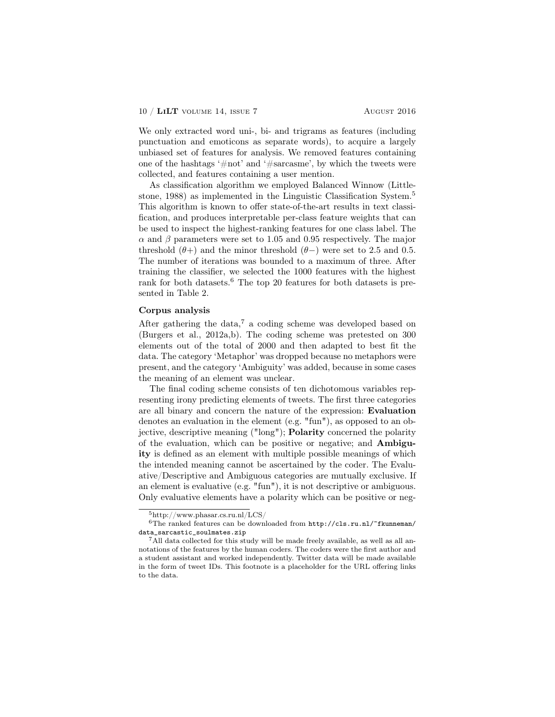#### 10 / LiLT volume 14, issue 7 August 2016

We only extracted word uni-, bi- and trigrams as features (including punctuation and emoticons as separate words), to acquire a largely unbiased set of features for analysis. We removed features containing one of the hashtags '#not' and '#sarcasme', by which the tweets were collected, and features containing a user mention.

As classification algorithm we employed Balanced Winnow (Littlestone, 1988) as implemented in the Linguistic Classification System.<sup>5</sup> This algorithm is known to offer state-of-the-art results in text classification, and produces interpretable per-class feature weights that can be used to inspect the highest-ranking features for one class label. The  $\alpha$  and  $\beta$  parameters were set to 1.05 and 0.95 respectively. The major threshold  $(θ+)$  and the minor threshold  $(θ-)$  were set to 2.5 and 0.5. The number of iterations was bounded to a maximum of three. After training the classifier, we selected the 1000 features with the highest rank for both datasets.<sup>6</sup> The top 20 features for both datasets is presented in Table 2.

## Corpus analysis

After gathering the data,<sup>7</sup> a coding scheme was developed based on (Burgers et al., 2012a,b). The coding scheme was pretested on 300 elements out of the total of 2000 and then adapted to best fit the data. The category 'Metaphor' was dropped because no metaphors were present, and the category 'Ambiguity' was added, because in some cases the meaning of an element was unclear.

The final coding scheme consists of ten dichotomous variables representing irony predicting elements of tweets. The first three categories are all binary and concern the nature of the expression: Evaluation denotes an evaluation in the element (e.g. "fun"), as opposed to an objective, descriptive meaning ("long"); Polarity concerned the polarity of the evaluation, which can be positive or negative; and Ambiguity is defined as an element with multiple possible meanings of which the intended meaning cannot be ascertained by the coder. The Evaluative/Descriptive and Ambiguous categories are mutually exclusive. If an element is evaluative (e.g. "fun"), it is not descriptive or ambiguous. Only evaluative elements have a polarity which can be positive or neg-

 $5$ http://www.phasar.cs.ru.nl/LCS/

 $6$ The ranked features can be downloaded from  $http://cls.ru.nl/~fkunneman/$ data\_sarcastic\_soulmates.zip

<sup>&</sup>lt;sup>7</sup>All data collected for this study will be made freely available, as well as all annotations of the features by the human coders. The coders were the first author and a student assistant and worked independently. Twitter data will be made available in the form of tweet IDs. This footnote is a placeholder for the URL offering links to the data.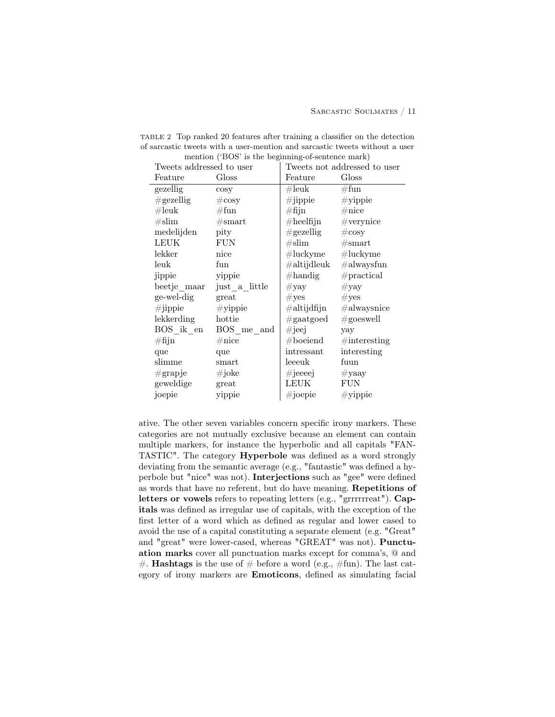| Tweets addressed to user |                   | Tweets not addressed to user          |                     |
|--------------------------|-------------------|---------------------------------------|---------------------|
| Feature                  | Gloss             | Feature                               | Gloss               |
| gezellig                 | cosy              | $\#\mathrm{leuk}$                     | #fun                |
| $\#\text{gezellig}$      | $\#\mathrm{cosy}$ | $\#$ jippie                           | $\#$ yippie         |
| $\#$ leuk                | #fun              | $\#\mathrm{fijn}$                     | $\#$ nice           |
| $\#\textrm{slim}$        | #smart            | $\#\text{heelfijn}$                   | $#$ verynice        |
| medelijden               | pity              | $\#\text{gezelling}$                  | $\#\cos y$          |
| LEUK                     | <b>FUN</b>        | $\#\mathrm{slim}$                     | #smart              |
| lekker                   | nice              | $\#\text{luckyme}$ $\#\text{luckyme}$ |                     |
| leuk                     | fun               | $\#$ altijdleuk                       | $\#$ alwaysfun      |
| jippie                   | yippie            | $\#\text{handig}$                     | #practical          |
| beetje maar              | just a little     | $\#\text{yay}$                        | $\#\mathrm{yay}$    |
| ge-wel-dig               | great             | $\#\mathrm{yes}$                      | #yes                |
| $\#$ jippie              | $\#$ yippie       | $\#$ altijdfijn                       | $\#$ alwaysnice     |
| lekkerding               | hottie            | $\#\text{gaatgoed}$                   | $\#\text{goeswell}$ |
| BOS ik en                | BOS me and        | $\#$ jeej                             | yay                 |
| $\#\mathrm{fijn}$        | $\#\mathrm{nice}$ | $\#$ boeiend                          | $\#$ interesting    |
| que                      | que               | intressant                            | interesting         |
| slimme                   | smart             | leeeuk                                | fuun                |
| $\#\text{grapje}$        | $\#i$ oke         | $\#$ jeeeej                           | $\#$ yaay           |
| geweldige                | great             | LEUK                                  | ${\rm FUN}$         |
| joepie                   | yippie            | $\#$ joepie                           | $\#$ yippie         |

TABLE 2 Top ranked 20 features after training a classifier on the detection of sarcastic tweets with a user-mention and sarcastic tweets without a user mention ('BOS' is the beginning-of-sentence mark)

ative. The other seven variables concern specific irony markers. These categories are not mutually exclusive because an element can contain multiple markers, for instance the hyperbolic and all capitals "FAN-TASTIC". The category Hyperbole was defined as a word strongly deviating from the semantic average (e.g., "fantastic" was defined a hyperbole but "nice" was not). Interjections such as "gee" were defined as words that have no referent, but do have meaning. Repetitions of letters or vowels refers to repeating letters (e.g., "grrrrrreat"). Capitals was defined as irregular use of capitals, with the exception of the first letter of a word which as defined as regular and lower cased to avoid the use of a capital constituting a separate element (e.g. "Great" and "great" were lower-cased, whereas "GREAT" was not). Punctuation marks cover all punctuation marks except for comma's, @ and #. **Hashtags** is the use of  $\#$  before a word (e.g.,  $\#$ fun). The last category of irony markers are Emoticons, defined as simulating facial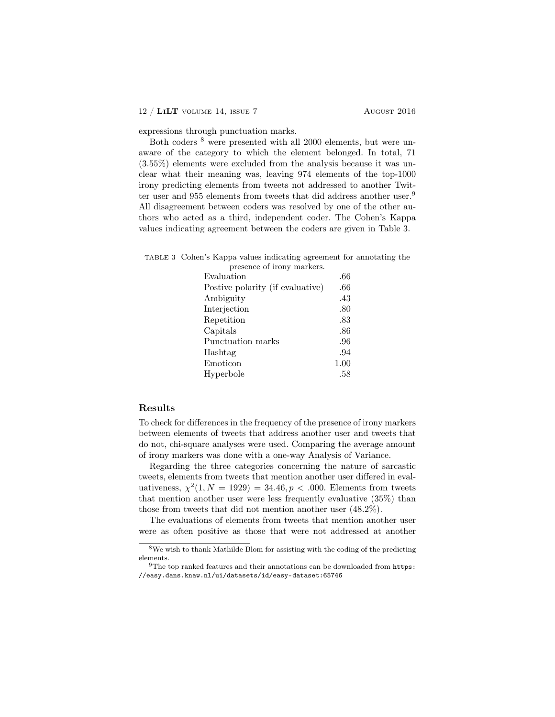expressions through punctuation marks.

Both coders <sup>8</sup> were presented with all 2000 elements, but were unaware of the category to which the element belonged. In total, 71 (3.55%) elements were excluded from the analysis because it was unclear what their meaning was, leaving 974 elements of the top-1000 irony predicting elements from tweets not addressed to another Twitter user and 955 elements from tweets that did address another user.<sup>9</sup> All disagreement between coders was resolved by one of the other authors who acted as a third, independent coder. The Cohen's Kappa values indicating agreement between the coders are given in Table 3.

| TABLE 3 Cohen's Kappa values indicating agreement for annotating the |                            |  |
|----------------------------------------------------------------------|----------------------------|--|
|                                                                      | presence of irony markers. |  |

| presence or nony markers.        |      |
|----------------------------------|------|
| Evaluation                       | .66  |
| Postive polarity (if evaluative) | .66  |
| Ambiguity                        | .43  |
| Interjection                     | .80  |
| Repetition                       | .83  |
| Capitals                         | .86  |
| Punctuation marks                | .96  |
| Hashtag                          | .94  |
| Emoticon                         | 1.00 |
| Hyperbole                        | .58  |

# Results

To check for differences in the frequency of the presence of irony markers between elements of tweets that address another user and tweets that do not, chi-square analyses were used. Comparing the average amount of irony markers was done with a one-way Analysis of Variance.

Regarding the three categories concerning the nature of sarcastic tweets, elements from tweets that mention another user differed in evaluativeness,  $\chi^2(1, N = 1929) = 34.46, p < .000$ . Elements from tweets that mention another user were less frequently evaluative (35%) than those from tweets that did not mention another user (48.2%).

The evaluations of elements from tweets that mention another user were as often positive as those that were not addressed at another

 $8$ We wish to thank Mathilde Blom for assisting with the coding of the predicting elements.

 $9$ The top ranked features and their annotations can be downloaded from https: //easy.dans.knaw.nl/ui/datasets/id/easy-dataset:65746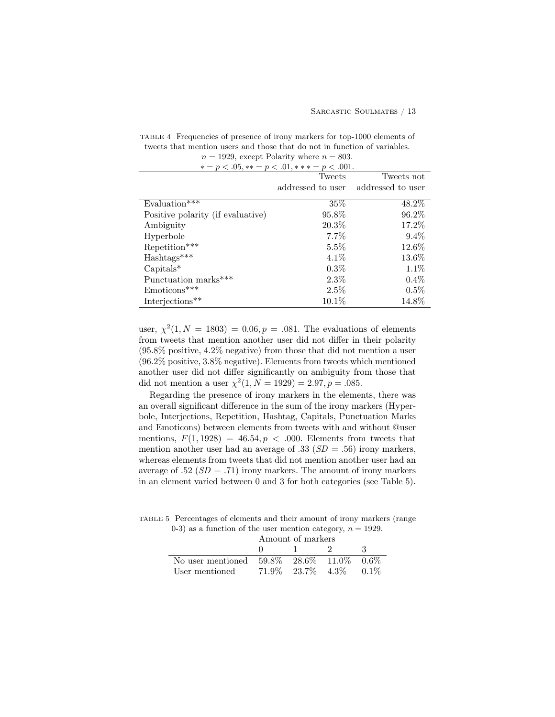| $n = 1929$ , except I order where $n = 000$ . |                   |                   |  |
|-----------------------------------------------|-------------------|-------------------|--|
| $* = p < .05, ** = p < .01, ** = p < .001.$   |                   |                   |  |
| Tweets<br>Tweets not                          |                   |                   |  |
|                                               | addressed to user | addressed to user |  |
| Evaluation***                                 | 35\%              | 48.2%             |  |
| Positive polarity (if evaluative)             | 95.8%             | 96.2%             |  |
| Ambiguity                                     | $20.3\%$          | 17.2%             |  |
| Hyperbole                                     | $7.7\%$           | $9.4\%$           |  |
| Repetition***                                 | 5.5%              | 12.6%             |  |
| $\mathrm{Hashtags^{***}}$                     | $4.1\%$           | 13.6%             |  |
| $Capitals^*$                                  | $0.3\%$           | $1.1\%$           |  |
| Punctuation marks***                          | $2.3\%$           | $0.4\%$           |  |
| Emoticons***                                  | 2.5%              | $0.5\%$           |  |
| Interjections**                               | $10.1\%$          | 14.8%             |  |

TABLE 4 Frequencies of presence of irony markers for top-1000 elements of tweets that mention users and those that do not in function of variables.  $n = 1929$ , except Polarity where  $n = 803$ .

user,  $\chi^2(1, N = 1803) = 0.06, p = .081$ . The evaluations of elements from tweets that mention another user did not differ in their polarity (95.8% positive, 4.2% negative) from those that did not mention a user (96.2% positive, 3.8% negative). Elements from tweets which mentioned another user did not differ significantly on ambiguity from those that did not mention a user  $\chi^2(1, N = 1929) = 2.97, p = .085$ .

Regarding the presence of irony markers in the elements, there was an overall significant difference in the sum of the irony markers (Hyperbole, Interjections, Repetition, Hashtag, Capitals, Punctuation Marks and Emoticons) between elements from tweets with and without @user mentions,  $F(1, 1928) = 46.54, p < .000$ . Elements from tweets that mention another user had an average of .33 ( $SD = .56$ ) irony markers, whereas elements from tweets that did not mention another user had an average of .52 ( $SD = .71$ ) irony markers. The amount of irony markers in an element varied between 0 and 3 for both categories (see Table 5).

TABLE 5 Percentages of elements and their amount of irony markers (range 0-3) as a function of the user mention category,  $n = 1929$ .

|                                                  | Amount of markers |                                           |  |    |
|--------------------------------------------------|-------------------|-------------------------------------------|--|----|
|                                                  | $\mathbf{u}$      | $\sim$ $\sim$ $\sim$ $\sim$ $\sim$ $\sim$ |  | -ર |
| No user mentioned 59.8% 28.6% 11.0% 0.6%         |                   |                                           |  |    |
| User mentioned $71.9\%$ $23.7\%$ $4.3\%$ $0.1\%$ |                   |                                           |  |    |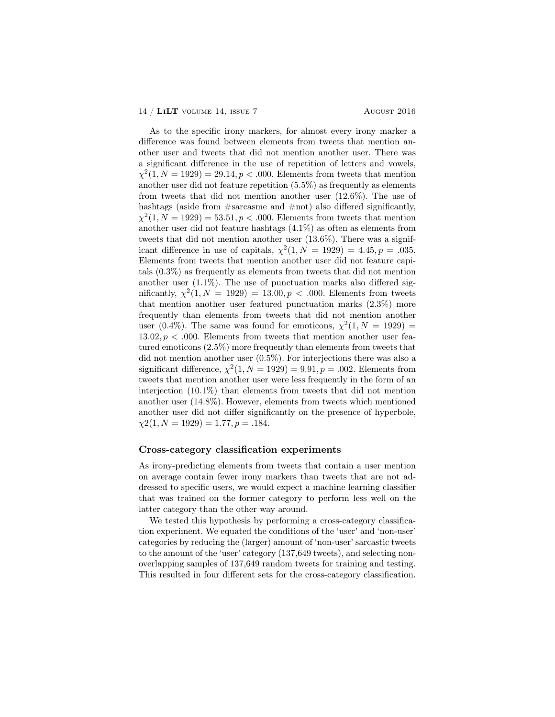As to the specific irony markers, for almost every irony marker a difference was found between elements from tweets that mention another user and tweets that did not mention another user. There was a significant difference in the use of repetition of letters and vowels,  $\chi^2(1, N = 1929) = 29.14, p < .000$ . Elements from tweets that mention another user did not feature repetition (5.5%) as frequently as elements from tweets that did not mention another user (12.6%). The use of hashtags (aside from  $\#$ sarcasme and  $\#$ not) also differed significantly,  $\chi^2(1, N = 1929) = 53.51, p < .000$ . Elements from tweets that mention another user did not feature hashtags (4.1%) as often as elements from tweets that did not mention another user (13.6%). There was a significant difference in use of capitals,  $\chi^2(1, N = 1929) = 4.45, p = .035$ . Elements from tweets that mention another user did not feature capitals (0.3%) as frequently as elements from tweets that did not mention another user  $(1.1\%)$ . The use of punctuation marks also differed significantly,  $\chi^2(1, N = 1929) = 13.00, p < .000$ . Elements from tweets that mention another user featured punctuation marks (2.3%) more frequently than elements from tweets that did not mention another user (0.4%). The same was found for emoticons,  $\chi^2(1, N = 1929)$  =  $13.02, p < .000$ . Elements from tweets that mention another user featured emoticons (2.5%) more frequently than elements from tweets that did not mention another user (0.5%). For interjections there was also a significant difference,  $\chi^2(1, N = 1929) = 9.91, p = .002$ . Elements from tweets that mention another user were less frequently in the form of an interjection (10.1%) than elements from tweets that did not mention another user (14.8%). However, elements from tweets which mentioned another user did not differ significantly on the presence of hyperbole,  $\chi$ 2(1, N = 1929) = 1.77, p = .184.

# Cross-category classification experiments

As irony-predicting elements from tweets that contain a user mention on average contain fewer irony markers than tweets that are not addressed to specific users, we would expect a machine learning classifier that was trained on the former category to perform less well on the latter category than the other way around.

We tested this hypothesis by performing a cross-category classification experiment. We equated the conditions of the 'user' and 'non-user' categories by reducing the (larger) amount of 'non-user' sarcastic tweets to the amount of the 'user' category (137,649 tweets), and selecting nonoverlapping samples of 137,649 random tweets for training and testing. This resulted in four different sets for the cross-category classification.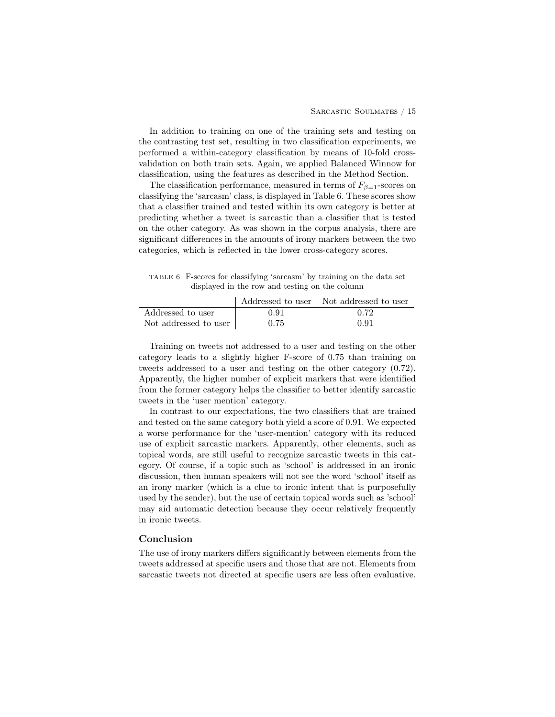In addition to training on one of the training sets and testing on the contrasting test set, resulting in two classification experiments, we performed a within-category classification by means of 10-fold crossvalidation on both train sets. Again, we applied Balanced Winnow for classification, using the features as described in the Method Section.

The classification performance, measured in terms of  $F_{\beta=1}$ -scores on classifying the 'sarcasm' class, is displayed in Table 6. These scores show that a classifier trained and tested within its own category is better at predicting whether a tweet is sarcastic than a classifier that is tested on the other category. As was shown in the corpus analysis, there are significant differences in the amounts of irony markers between the two categories, which is reflected in the lower cross-category scores.

TABLE 6 F-scores for classifying 'sarcasm' by training on the data set displayed in the row and testing on the column

|                       |      | Addressed to user Not addressed to user |
|-----------------------|------|-----------------------------------------|
| Addressed to user     | 0.91 | 0.72                                    |
| Not addressed to user | 0.75 | 0.91                                    |

Training on tweets not addressed to a user and testing on the other category leads to a slightly higher F-score of 0.75 than training on tweets addressed to a user and testing on the other category (0.72). Apparently, the higher number of explicit markers that were identified from the former category helps the classifier to better identify sarcastic tweets in the 'user mention' category.

In contrast to our expectations, the two classifiers that are trained and tested on the same category both yield a score of 0.91. We expected a worse performance for the 'user-mention' category with its reduced use of explicit sarcastic markers. Apparently, other elements, such as topical words, are still useful to recognize sarcastic tweets in this category. Of course, if a topic such as 'school' is addressed in an ironic discussion, then human speakers will not see the word 'school' itself as an irony marker (which is a clue to ironic intent that is purposefully used by the sender), but the use of certain topical words such as 'school' may aid automatic detection because they occur relatively frequently in ironic tweets.

# Conclusion

The use of irony markers differs significantly between elements from the tweets addressed at specific users and those that are not. Elements from sarcastic tweets not directed at specific users are less often evaluative.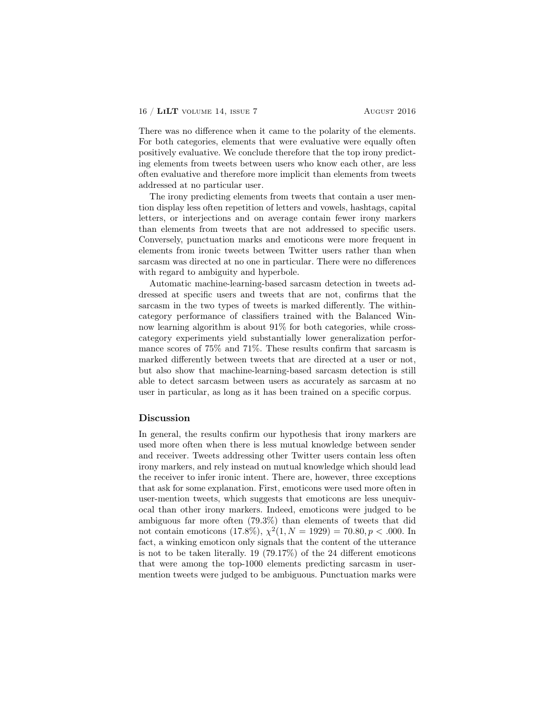There was no difference when it came to the polarity of the elements. For both categories, elements that were evaluative were equally often positively evaluative. We conclude therefore that the top irony predicting elements from tweets between users who know each other, are less often evaluative and therefore more implicit than elements from tweets addressed at no particular user.

The irony predicting elements from tweets that contain a user mention display less often repetition of letters and vowels, hashtags, capital letters, or interjections and on average contain fewer irony markers than elements from tweets that are not addressed to specific users. Conversely, punctuation marks and emoticons were more frequent in elements from ironic tweets between Twitter users rather than when sarcasm was directed at no one in particular. There were no differences with regard to ambiguity and hyperbole.

Automatic machine-learning-based sarcasm detection in tweets addressed at specific users and tweets that are not, confirms that the sarcasm in the two types of tweets is marked differently. The withincategory performance of classifiers trained with the Balanced Winnow learning algorithm is about 91% for both categories, while crosscategory experiments yield substantially lower generalization performance scores of 75% and 71%. These results confirm that sarcasm is marked differently between tweets that are directed at a user or not, but also show that machine-learning-based sarcasm detection is still able to detect sarcasm between users as accurately as sarcasm at no user in particular, as long as it has been trained on a specific corpus.

#### Discussion

In general, the results confirm our hypothesis that irony markers are used more often when there is less mutual knowledge between sender and receiver. Tweets addressing other Twitter users contain less often irony markers, and rely instead on mutual knowledge which should lead the receiver to infer ironic intent. There are, however, three exceptions that ask for some explanation. First, emoticons were used more often in user-mention tweets, which suggests that emoticons are less unequivocal than other irony markers. Indeed, emoticons were judged to be ambiguous far more often (79.3%) than elements of tweets that did not contain emoticons (17.8%),  $\chi^2(1, N = 1929) = 70.80, p < .000$ . In fact, a winking emoticon only signals that the content of the utterance is not to be taken literally. 19 (79.17%) of the 24 different emoticons that were among the top-1000 elements predicting sarcasm in usermention tweets were judged to be ambiguous. Punctuation marks were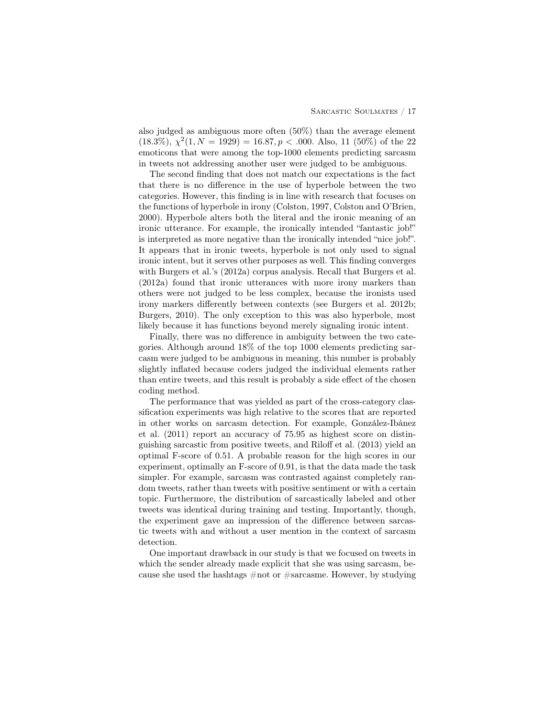also judged as ambiguous more often (50%) than the average element  $(18.3\%), \ \chi^2(1, N = 1929) = 16.87, p < .000.$  Also, 11 (50%) of the 22 emoticons that were among the top-1000 elements predicting sarcasm in tweets not addressing another user were judged to be ambiguous.

The second finding that does not match our expectations is the fact that there is no difference in the use of hyperbole between the two categories. However, this finding is in line with research that focuses on the functions of hyperbole in irony (Colston, 1997, Colston and O'Brien, 2000). Hyperbole alters both the literal and the ironic meaning of an ironic utterance. For example, the ironically intended "fantastic job!" is interpreted as more negative than the ironically intended "nice job!". It appears that in ironic tweets, hyperbole is not only used to signal ironic intent, but it serves other purposes as well. This finding converges with Burgers et al.'s (2012a) corpus analysis. Recall that Burgers et al. (2012a) found that ironic utterances with more irony markers than others were not judged to be less complex, because the ironists used irony markers differently between contexts (see Burgers et al. 2012b; Burgers, 2010). The only exception to this was also hyperbole, most likely because it has functions beyond merely signaling ironic intent.

Finally, there was no difference in ambiguity between the two categories. Although around 18% of the top 1000 elements predicting sarcasm were judged to be ambiguous in meaning, this number is probably slightly inflated because coders judged the individual elements rather than entire tweets, and this result is probably a side effect of the chosen coding method.

The performance that was yielded as part of the cross-category classification experiments was high relative to the scores that are reported in other works on sarcasm detection. For example, González-Ibánez et al. (2011) report an accuracy of 75.95 as highest score on distinguishing sarcastic from positive tweets, and Riloff et al. (2013) yield an optimal F-score of 0.51. A probable reason for the high scores in our experiment, optimally an F-score of 0.91, is that the data made the task simpler. For example, sarcasm was contrasted against completely random tweets, rather than tweets with positive sentiment or with a certain topic. Furthermore, the distribution of sarcastically labeled and other tweets was identical during training and testing. Importantly, though, the experiment gave an impression of the difference between sarcastic tweets with and without a user mention in the context of sarcasm detection.

One important drawback in our study is that we focused on tweets in which the sender already made explicit that she was using sarcasm, because she used the hashtags  $\#$  not or  $\#$ sarcasme. However, by studying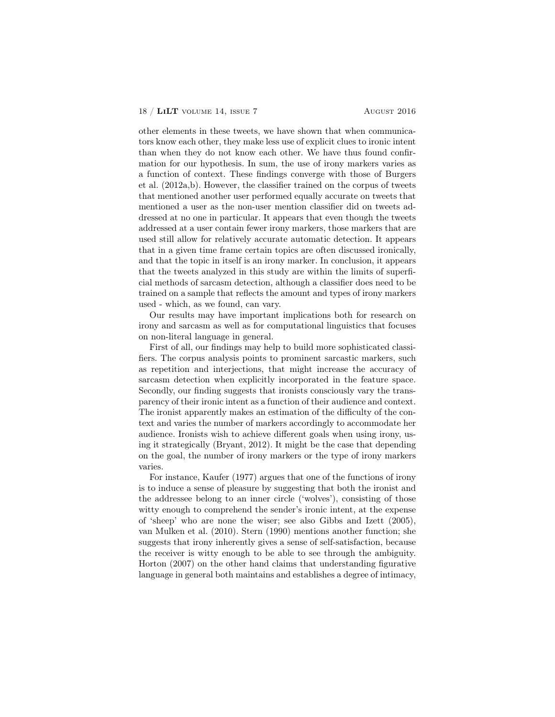other elements in these tweets, we have shown that when communicators know each other, they make less use of explicit clues to ironic intent than when they do not know each other. We have thus found confirmation for our hypothesis. In sum, the use of irony markers varies as a function of context. These findings converge with those of Burgers et al. (2012a,b). However, the classifier trained on the corpus of tweets that mentioned another user performed equally accurate on tweets that mentioned a user as the non-user mention classifier did on tweets addressed at no one in particular. It appears that even though the tweets addressed at a user contain fewer irony markers, those markers that are used still allow for relatively accurate automatic detection. It appears that in a given time frame certain topics are often discussed ironically, and that the topic in itself is an irony marker. In conclusion, it appears that the tweets analyzed in this study are within the limits of superficial methods of sarcasm detection, although a classifier does need to be trained on a sample that reflects the amount and types of irony markers used - which, as we found, can vary.

Our results may have important implications both for research on irony and sarcasm as well as for computational linguistics that focuses on non-literal language in general.

First of all, our findings may help to build more sophisticated classifiers. The corpus analysis points to prominent sarcastic markers, such as repetition and interjections, that might increase the accuracy of sarcasm detection when explicitly incorporated in the feature space. Secondly, our finding suggests that ironists consciously vary the transparency of their ironic intent as a function of their audience and context. The ironist apparently makes an estimation of the difficulty of the context and varies the number of markers accordingly to accommodate her audience. Ironists wish to achieve different goals when using irony, using it strategically (Bryant, 2012). It might be the case that depending on the goal, the number of irony markers or the type of irony markers varies.

For instance, Kaufer (1977) argues that one of the functions of irony is to induce a sense of pleasure by suggesting that both the ironist and the addressee belong to an inner circle ('wolves'), consisting of those witty enough to comprehend the sender's ironic intent, at the expense of 'sheep' who are none the wiser; see also Gibbs and Izett (2005), van Mulken et al. (2010). Stern (1990) mentions another function; she suggests that irony inherently gives a sense of self-satisfaction, because the receiver is witty enough to be able to see through the ambiguity. Horton (2007) on the other hand claims that understanding figurative language in general both maintains and establishes a degree of intimacy,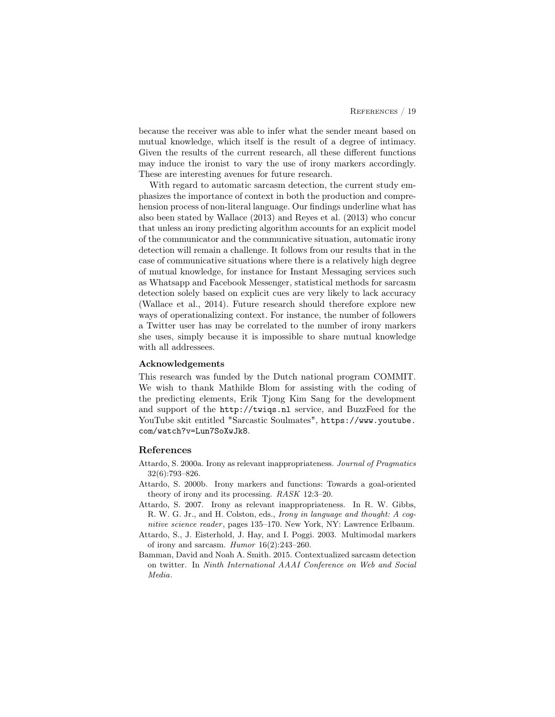because the receiver was able to infer what the sender meant based on mutual knowledge, which itself is the result of a degree of intimacy. Given the results of the current research, all these different functions may induce the ironist to vary the use of irony markers accordingly. These are interesting avenues for future research.

With regard to automatic sarcasm detection, the current study emphasizes the importance of context in both the production and comprehension process of non-literal language. Our findings underline what has also been stated by Wallace (2013) and Reyes et al. (2013) who concur that unless an irony predicting algorithm accounts for an explicit model of the communicator and the communicative situation, automatic irony detection will remain a challenge. It follows from our results that in the case of communicative situations where there is a relatively high degree of mutual knowledge, for instance for Instant Messaging services such as Whatsapp and Facebook Messenger, statistical methods for sarcasm detection solely based on explicit cues are very likely to lack accuracy (Wallace et al., 2014). Future research should therefore explore new ways of operationalizing context. For instance, the number of followers a Twitter user has may be correlated to the number of irony markers she uses, simply because it is impossible to share mutual knowledge with all addressees.

### Acknowledgements

This research was funded by the Dutch national program COMMIT. We wish to thank Mathilde Blom for assisting with the coding of the predicting elements, Erik Tjong Kim Sang for the development and support of the http://twiqs.nl service, and BuzzFeed for the YouTube skit entitled "Sarcastic Soulmates", https://www.youtube. com/watch?v=Lun7SoXwJk8.

#### References

- Attardo, S. 2000a. Irony as relevant inappropriateness. Journal of Pragmatics 32(6):793–826.
- Attardo, S. 2000b. Irony markers and functions: Towards a goal-oriented theory of irony and its processing. RASK 12:3–20.
- Attardo, S. 2007. Irony as relevant inappropriateness. In R. W. Gibbs, R. W. G. Jr., and H. Colston, eds., Irony in language and thought: A cognitive science reader, pages 135-170. New York, NY: Lawrence Erlbaum.
- Attardo, S., J. Eisterhold, J. Hay, and I. Poggi. 2003. Multimodal markers of irony and sarcasm.  $Humor 16(2):243-260$ .
- Bamman, David and Noah A. Smith. 2015. Contextualized sarcasm detection on twitter. In Ninth International AAAI Conference on Web and Social Media.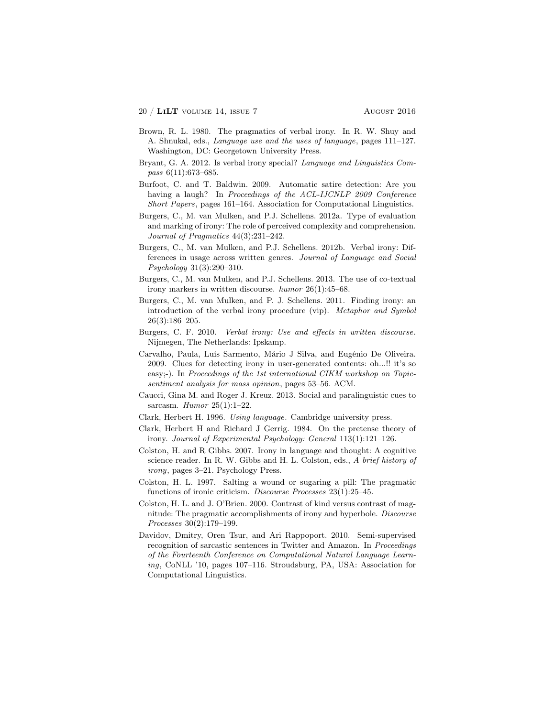- Brown, R. L. 1980. The pragmatics of verbal irony. In R. W. Shuy and A. Shnukal, eds., Language use and the uses of language, pages 111–127. Washington, DC: Georgetown University Press.
- Bryant, G. A. 2012. Is verbal irony special? Language and Linguistics Compass 6(11):673-685.
- Burfoot, C. and T. Baldwin. 2009. Automatic satire detection: Are you having a laugh? In Proceedings of the ACL-IJCNLP 2009 Conference Short Papers, pages 161–164. Association for Computational Linguistics.
- Burgers, C., M. van Mulken, and P.J. Schellens. 2012a. Type of evaluation and marking of irony: The role of perceived complexity and comprehension. Journal of Pragmatics 44(3):231–242.
- Burgers, C., M. van Mulken, and P.J. Schellens. 2012b. Verbal irony: Differences in usage across written genres. Journal of Language and Social Psychology 31(3):290–310.
- Burgers, C., M. van Mulken, and P.J. Schellens. 2013. The use of co-textual irony markers in written discourse. humor 26(1):45–68.
- Burgers, C., M. van Mulken, and P. J. Schellens. 2011. Finding irony: an introduction of the verbal irony procedure (vip). Metaphor and Symbol 26(3):186–205.
- Burgers, C. F. 2010. Verbal irony: Use and effects in written discourse. Nijmegen, The Netherlands: Ipskamp.
- Carvalho, Paula, Luís Sarmento, Mário J Silva, and Eugénio De Oliveira. 2009. Clues for detecting irony in user-generated contents: oh...!! it's so easy;-). In Proceedings of the 1st international CIKM workshop on Topicsentiment analysis for mass opinion, pages 53–56. ACM.
- Caucci, Gina M. and Roger J. Kreuz. 2013. Social and paralinguistic cues to sarcasm. Humor  $25(1):1-22$ .
- Clark, Herbert H. 1996. Using language. Cambridge university press.
- Clark, Herbert H and Richard J Gerrig. 1984. On the pretense theory of irony. Journal of Experimental Psychology: General 113(1):121–126.
- Colston, H. and R Gibbs. 2007. Irony in language and thought: A cognitive science reader. In R. W. Gibbs and H. L. Colston, eds., A brief history of irony, pages 3–21. Psychology Press.
- Colston, H. L. 1997. Salting a wound or sugaring a pill: The pragmatic functions of ironic criticism. Discourse Processes 23(1):25–45.
- Colston, H. L. and J. O'Brien. 2000. Contrast of kind versus contrast of magnitude: The pragmatic accomplishments of irony and hyperbole. Discourse Processes 30(2):179–199.
- Davidov, Dmitry, Oren Tsur, and Ari Rappoport. 2010. Semi-supervised recognition of sarcastic sentences in Twitter and Amazon. In *Proceedings* of the Fourteenth Conference on Computational Natural Language Learning, CoNLL '10, pages 107–116. Stroudsburg, PA, USA: Association for Computational Linguistics.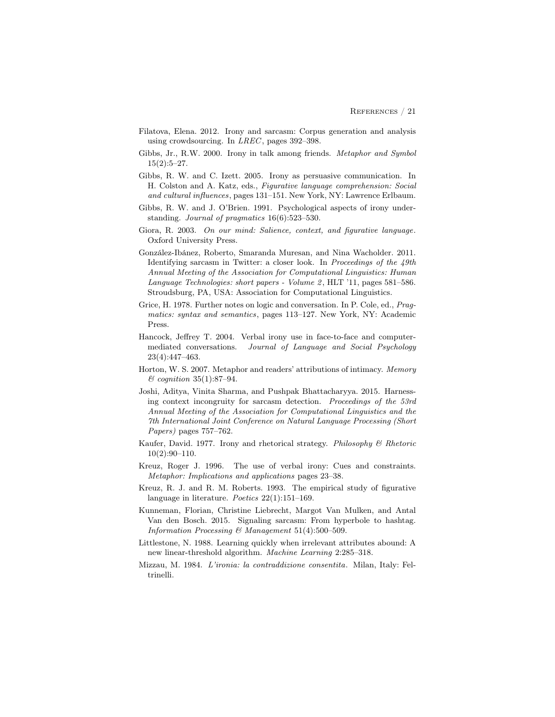- Filatova, Elena. 2012. Irony and sarcasm: Corpus generation and analysis using crowdsourcing. In LREC, pages 392–398.
- Gibbs, Jr., R.W. 2000. Irony in talk among friends. Metaphor and Symbol 15(2):5–27.
- Gibbs, R. W. and C. Izett. 2005. Irony as persuasive communication. In H. Colston and A. Katz, eds., Figurative language comprehension: Social and cultural influences, pages 131–151. New York, NY: Lawrence Erlbaum.
- Gibbs, R. W. and J. O'Brien. 1991. Psychological aspects of irony understanding. Journal of pragmatics 16(6):523–530.
- Giora, R. 2003. On our mind: Salience, context, and figurative language. Oxford University Press.
- González-Ibánez, Roberto, Smaranda Muresan, and Nina Wacholder. 2011. Identifying sarcasm in Twitter: a closer look. In Proceedings of the 49th Annual Meeting of the Association for Computational Linguistics: Human Language Technologies: short papers - Volume 2, HLT '11, pages 581-586. Stroudsburg, PA, USA: Association for Computational Linguistics.
- Grice, H. 1978. Further notes on logic and conversation. In P. Cole, ed., Pragmatics: syntax and semantics, pages 113–127. New York, NY: Academic Press.
- Hancock, Jeffrey T. 2004. Verbal irony use in face-to-face and computermediated conversations. Journal of Language and Social Psychology 23(4):447–463.
- Horton, W. S. 2007. Metaphor and readers' attributions of intimacy. Memory  $\mathcal{O}$  cognition 35(1):87-94.
- Joshi, Aditya, Vinita Sharma, and Pushpak Bhattacharyya. 2015. Harnessing context incongruity for sarcasm detection. Proceedings of the 53rd Annual Meeting of the Association for Computational Linguistics and the 7th International Joint Conference on Natural Language Processing (Short Papers) pages 757–762.
- Kaufer, David. 1977. Irony and rhetorical strategy. Philosophy & Rhetoric 10(2):90–110.
- Kreuz, Roger J. 1996. The use of verbal irony: Cues and constraints. Metaphor: Implications and applications pages 23–38.
- Kreuz, R. J. and R. M. Roberts. 1993. The empirical study of figurative language in literature. Poetics 22(1):151–169.
- Kunneman, Florian, Christine Liebrecht, Margot Van Mulken, and Antal Van den Bosch. 2015. Signaling sarcasm: From hyperbole to hashtag. Information Processing & Management  $51(4):500-509$ .
- Littlestone, N. 1988. Learning quickly when irrelevant attributes abound: A new linear-threshold algorithm. Machine Learning 2:285–318.
- Mizzau, M. 1984. L'ironia: la contraddizione consentita. Milan, Italy: Feltrinelli.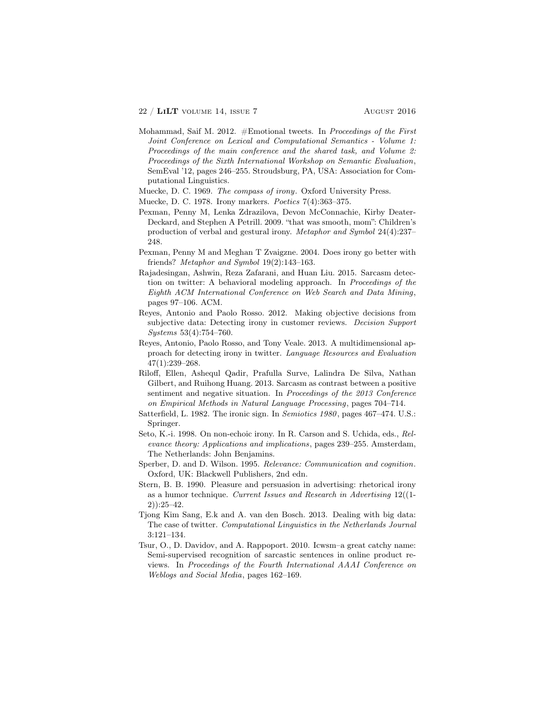- Mohammad, Saif M. 2012.  $#Emotional$  tweets. In *Proceedings of the First* Joint Conference on Lexical and Computational Semantics - Volume 1: Proceedings of the main conference and the shared task, and Volume 2: Proceedings of the Sixth International Workshop on Semantic Evaluation, SemEval '12, pages 246–255. Stroudsburg, PA, USA: Association for Computational Linguistics.
- Muecke, D. C. 1969. The compass of irony. Oxford University Press.
- Muecke, D. C. 1978. Irony markers. Poetics 7(4):363–375.
- Pexman, Penny M, Lenka Zdrazilova, Devon McConnachie, Kirby Deater-Deckard, and Stephen A Petrill. 2009. "that was smooth, mom": Children's production of verbal and gestural irony. Metaphor and Symbol 24(4):237– 248.
- Pexman, Penny M and Meghan T Zvaigzne. 2004. Does irony go better with friends? Metaphor and Symbol 19(2):143–163.
- Rajadesingan, Ashwin, Reza Zafarani, and Huan Liu. 2015. Sarcasm detection on twitter: A behavioral modeling approach. In Proceedings of the Eighth ACM International Conference on Web Search and Data Mining, pages 97–106. ACM.
- Reyes, Antonio and Paolo Rosso. 2012. Making objective decisions from subjective data: Detecting irony in customer reviews. Decision Support Systems 53(4):754–760.
- Reyes, Antonio, Paolo Rosso, and Tony Veale. 2013. A multidimensional approach for detecting irony in twitter. Language Resources and Evaluation 47(1):239–268.
- Riloff, Ellen, Ashequl Qadir, Prafulla Surve, Lalindra De Silva, Nathan Gilbert, and Ruihong Huang. 2013. Sarcasm as contrast between a positive sentiment and negative situation. In Proceedings of the 2013 Conference on Empirical Methods in Natural Language Processing, pages 704–714.
- Satterfield, L. 1982. The ironic sign. In Semiotics 1980, pages 467–474. U.S.: Springer.
- Seto, K.-i. 1998. On non-echoic irony. In R. Carson and S. Uchida, eds., Relevance theory: Applications and implications, pages 239–255. Amsterdam, The Netherlands: John Benjamins.
- Sperber, D. and D. Wilson. 1995. Relevance: Communication and cognition. Oxford, UK: Blackwell Publishers, 2nd edn.
- Stern, B. B. 1990. Pleasure and persuasion in advertising: rhetorical irony as a humor technique. Current Issues and Research in Advertising  $12((1$ 2)):25–42.
- Tjong Kim Sang, E.k and A. van den Bosch. 2013. Dealing with big data: The case of twitter. Computational Linguistics in the Netherlands Journal 3:121–134.
- Tsur, O., D. Davidov, and A. Rappoport. 2010. Icwsm–a great catchy name: Semi-supervised recognition of sarcastic sentences in online product reviews. In Proceedings of the Fourth International AAAI Conference on Weblogs and Social Media, pages 162–169.